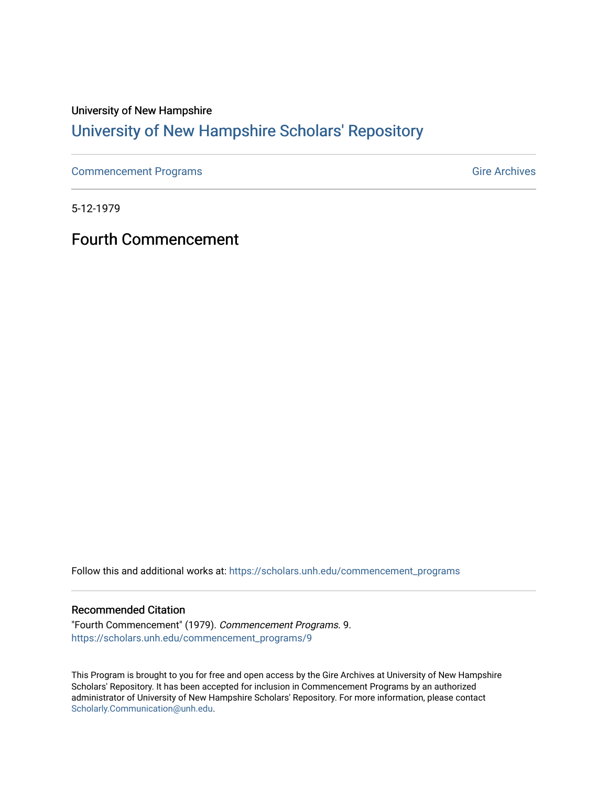### University of New Hampshire [University of New Hampshire Scholars' Repository](https://scholars.unh.edu/)

[Commencement Programs](https://scholars.unh.edu/commencement_programs) Gire Archives

5-12-1979

Fourth Commencement

Follow this and additional works at: [https://scholars.unh.edu/commencement\\_programs](https://scholars.unh.edu/commencement_programs?utm_source=scholars.unh.edu%2Fcommencement_programs%2F9&utm_medium=PDF&utm_campaign=PDFCoverPages) 

#### Recommended Citation

"Fourth Commencement" (1979). Commencement Programs. 9. [https://scholars.unh.edu/commencement\\_programs/9](https://scholars.unh.edu/commencement_programs/9?utm_source=scholars.unh.edu%2Fcommencement_programs%2F9&utm_medium=PDF&utm_campaign=PDFCoverPages)

This Program is brought to you for free and open access by the Gire Archives at University of New Hampshire Scholars' Repository. It has been accepted for inclusion in Commencement Programs by an authorized administrator of University of New Hampshire Scholars' Repository. For more information, please contact [Scholarly.Communication@unh.edu](mailto:Scholarly.Communication@unh.edu).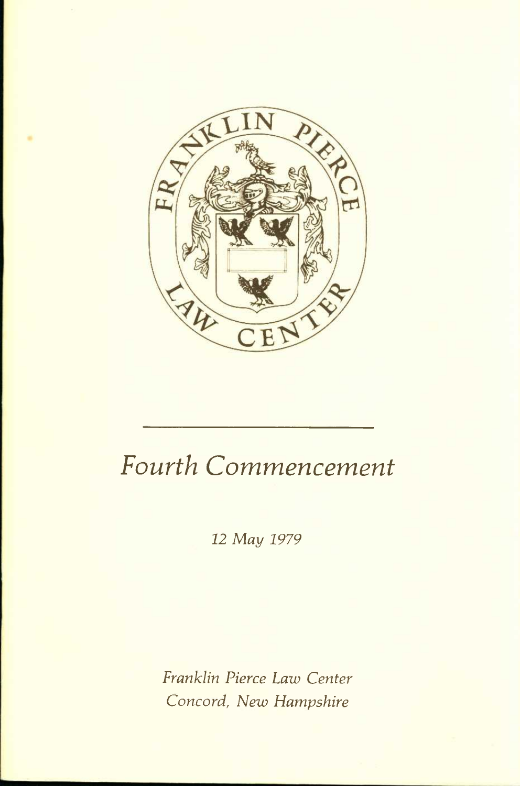

# *Fourth Commencement*

*12 May 1979* 

*Franklin Pierce Law Center Concord, New Hampshire*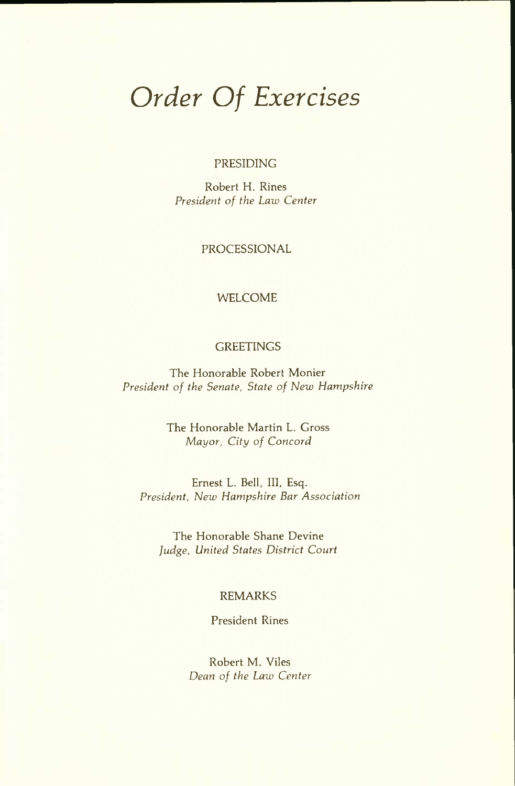### *Order Of Exercises*

#### PRESIDING

Robert H. Rines *President of the Law Center* 

PROCESSIONAL

#### WELCOME

#### **GREETINGS**

The Honorable Robert Monier *President of the Senate, State of New Hampshire* 

> The Honorable Martin L. Gross *Mayor, City of Concord*

Ernest L. Bell, III, Esq. *President, New Hampshire Bar Association* 

The Honorable Shane Devine *Judge, United States District Court* 

#### REMARKS

President Rines

Robert M. Viles *Dean of the Law Center*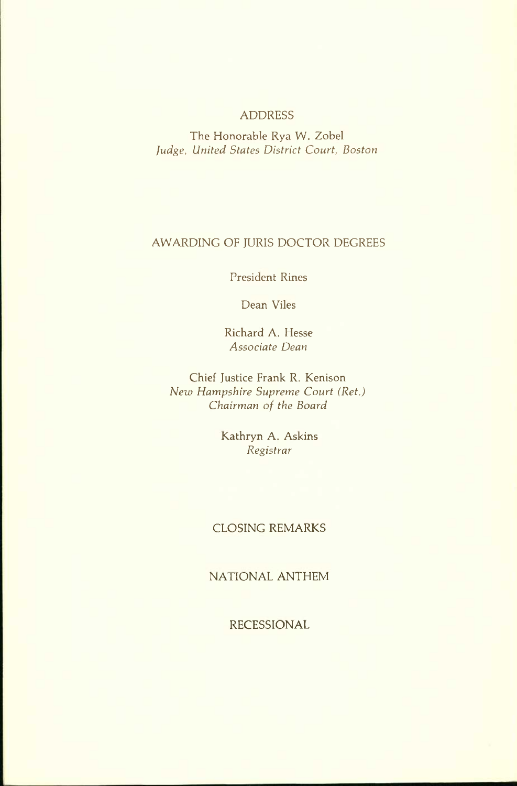#### ADDRESS

The Honorable Rya W. Zobel *Judge, United States District Court, Boston* 

#### AWARDING OF JURIS DOCTOR DEGREES

President Rines

Dean Viles

Richard A. Hesse *Associate Dean* 

Chief Justice Frank R. Kenison *New Hampshire Supreme Court (Ret.) Chairman of the Board* 

> Kathryn A. Askins *Registrar*

#### CLOSING REMARKS

NATIONAL ANTHEM

RECESSIONAL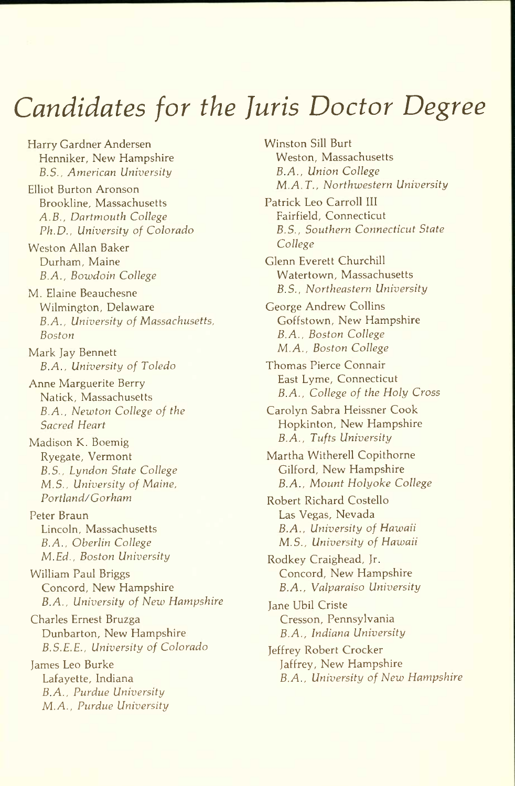## *Candidates for the Juris Doctor Degree*

Harry Gardner Andersen Henniker, New Hampshire *B.S., American University* 

Elliot Burton Aronson Brookline, Massachusetts *A.B., Dartmouth College Ph.D., University of Colorado* 

Weston Allan Baker Durham, Maine *B.A., Bowdoin College* 

M. Elaine Beauchesne Wilmington, Delaware *B.A., University of Massachusetts, Boston* 

Mark Jay Bennett *B.A., University of Toledo* 

Anne Marguerite Berry Natick, Massachusetts *B.A., Newton College of the Sacred Heart* 

Madison K. Boemig Ryegate, Vermont *B.S., Lyndon State College M.S., University of Maine, Portland/Gorham* 

Peter Braun Lincoln, Massachusetts *B.A., Oberlin College M.Ed., Boston University* 

William Paul Briggs Concord, New Hampshire *B.A., University of New Hampshire* 

Charles Ernest Bruzga Dunbarton, New Hampshire *B.S.E.E., University of Colorado* 

James Leo Burke Lafayette, Indiana *B.A., Purdue University M.A., Purdue University*  Winston Sill Burt Weston, Massachusetts *B.A., Union College M.A.T., Northwestern University* 

Patrick Leo Carroll III Fairfield, Connecticut *B.S., Southern Connecticut State College* 

Glenn Everett Churchill Watertown, Massachusetts *B.S., Northeastern University* 

George Andrew Collins Goffstown, New Hampshire *B.A., Boston College M.A., Boston College* 

Thomas Pierce Connair East Lyme, Connecticut *B.A., College of the Holy Cross* 

Carolyn Sabra Heissner Cook Hopkinton, New Hampshire *B.A., Tufts University* 

Martha Witherell Copithorne Gilford, New Hampshire *B.A., Mount Holyoke College* 

Robert Richard Costello Las Vegas, Nevada *B.A., University of Hawaii M.S., University of Hawaii* 

Rodkey Craighead, Jr. Concord, New Hampshire *B.A., Valparaiso University* 

Jane Ubil Criste Cresson, Pennsylvania *B.A., Indiana University* 

Jeffrey Robert Crocker Jaffrey, New Hampshire *B.A., University of New Hampshire*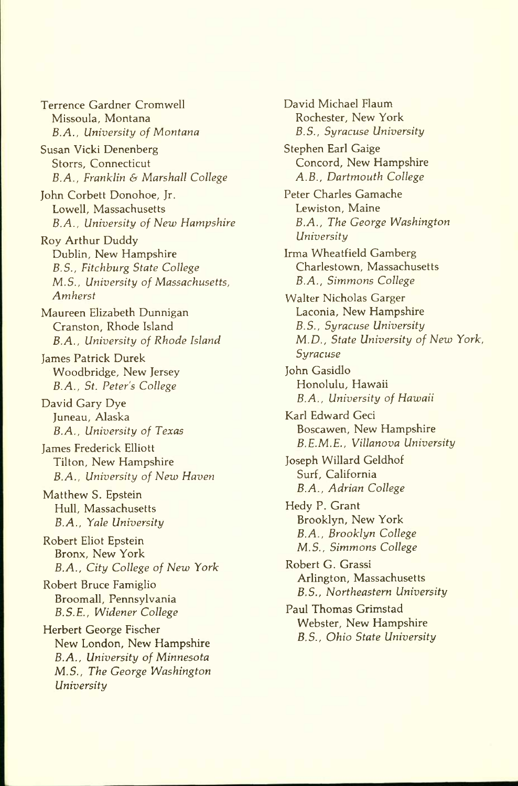Terrence Gardner Cromwell Missoula, Montana *B.A., University of Montana*  Susan Vicki Denenberg Storrs, Connecticut *B.A., Franklin & Marshall College*  John Corbett Donohoe, Jr. Lowell, Massachusetts *B.A., University of New Hampshire*  Roy Arthur Duddy Dublin, New Hampshire *B.S., Fitchburg State College M.S., University of Massachusetts, Amherst*  Maureen Elizabeth Dunnigan Cranston, Rhode Island *B.A., University of Rhode Island*  James Patrick Durek Woodbridge, New Jersey *B.A., St. Peter's College*  David Gary Dye Juneau, Alaska *B.A., University of Texas*  James Frederick Elliott Tilton, New Hampshire *B.A., University of New Haven*  Matthew S. Epstein Hull, Massachusetts *B.A., Yale University*  Robert Eliot Epstein Bronx, New York *B.A., City College of New York*  Robert Bruce Famiglio Broomall, Pennsylvania *B.S.E., Widener College*  Herbert George Fischer New London, New Hampshire *B.A., University of Minnesota M.S., The George Washington University* 

David Michael Flaum Rochester, New York *B.S., Syracuse University*  Stephen Earl Gaige Concord, New Hampshire *A.B., Dartmouth College*  Peter Charles Gamache Lewiston, Maine *B.A., The George Washington University*  Irma Wheatfield Gamberg Charlestown, Massachusetts *B.A., Simmons College*  Walter Nicholas Garger Laconia, New Hampshire *B.S., Syracuse University M.D., State University of New York, Syracuse*  John Gasidlo Honolulu, Hawaii *B.A., University of Hawaii*  Karl Edward Geci Boscawen, New Hampshire *B.E.M.E., Villanova University*  Joseph Willard Geldhof Surf, California *B.A., Adrian College*  Hedy P. Grant Brooklyn, New York *B.A., Brooklyn College M.S., Simmons College*  Robert G. Grassi Arlington, Massachusetts *B.S., Northeastern University*  Paul Thomas Grimstad Webster, New Hampshire *B.S., Ohio State University*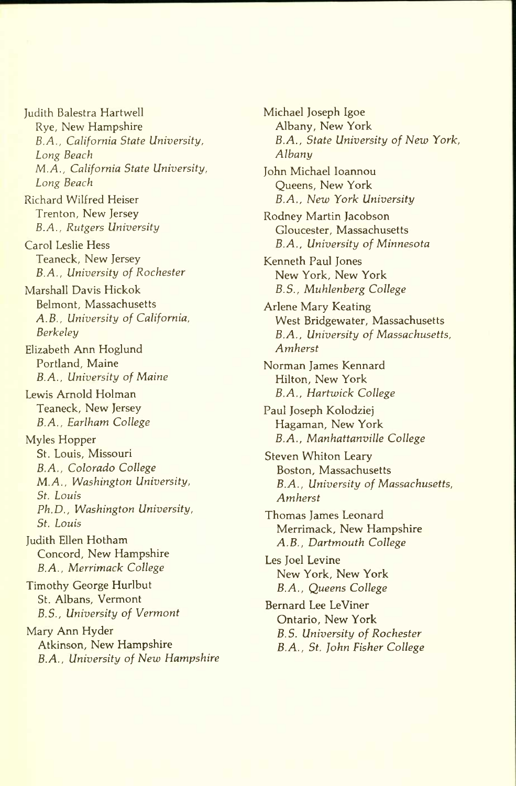Judith Balestra Hartwell Rye, New Hampshire *B.A., California State University, Long Beach M.A., California State University, Long Beach* 

Richard Wilfred Heiser Trenton, New Jersey *B.A., Rutgers University* 

Carol Leslie Hess Teaneck, New Jersey *B.A., University of Rochester* 

Marshall Davis Hickok Belmont, Massachusetts *A.B., University of California, Berkeley* 

Elizabeth Ann Hoglund Portland, Maine *B.A., University of Maine* 

Lewis Arnold Holman Teaneck, New Jersey *B.A., Earlham College* 

Myles Hopper St. Louis, Missouri *B.A., Colorado College M.A., Washington University, St. Louis Ph.D., Washington University, St. Louis* 

Judith Ellen Hotham Concord, New Hampshire *B.A., Merrimack College* 

Timothy George Hurlbut St. Albans, Vermont *B.S., University of Vermont* 

Mary Ann Hyder Atkinson, New Hampshire *B.A., University of New Hampshire* 

Michael Joseph Igoe Albany, New York *B.A., State University of New York, Albany*  John Michael loannou Queens, New York *B.A., New York University*  Rodney Martin Jacobson Gloucester, Massachusetts *B.A., University of Minnesota*  Kenneth Paul Jones New York, New York *B.S., Muhlenberg College*  Arlene Mary Keating West Bridgewater, Massachusetts *B.A., University of Massachusetts, Amherst*  Norman James Kennard Hilton, New York *B.A., Hartwick College*  Paul Joseph Kolodziej Hagaman, New York *B.A., Manhattanville College*  Steven Whiton Leary Boston, Massachusetts *B.A., University of Massachusetts, Amherst*  Thomas James Leonard Merrimack, New Hampshire *A.B., Dartmouth College*  Les Joel Levine New York, New York *B.A., Queens College*  Bernard Lee LeViner Ontario, New York *B.S. University of Rochester B.A., St. John Fisher College*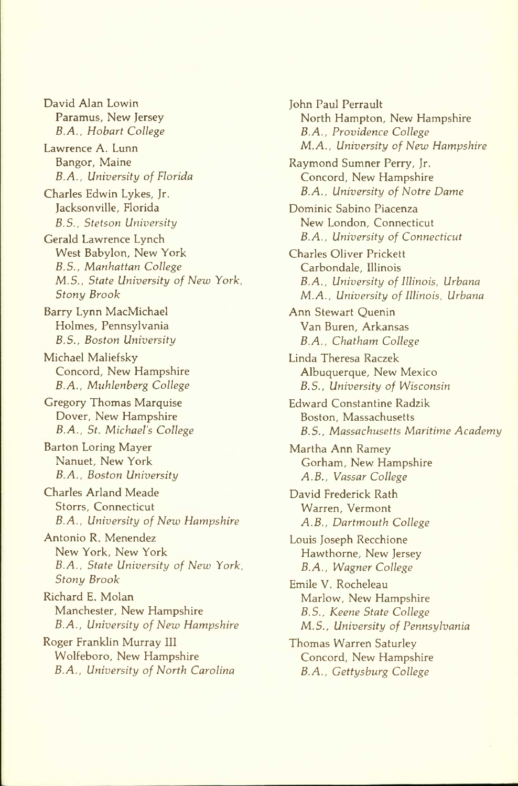David Alan Lowin Paramus, New Jersey *B.A,, Hobart College* 

Lawrence A. Lunn Bangor, Maine *B.A., University of Florida* 

Charles Edwin Lykes, Jr. Jacksonville, Florida *B.S., Stetson University* 

Gerald Lawrence Lynch West Babylon, New York *B.S., Manhattan College M.S., State University of New York, Stony Brook* 

Barry Lynn MacMichael Holmes, Pennsylvania *B.S., Boston University* 

Michael Maliefsky Concord, New Hampshire *B.A., Muhlenberg College* 

Gregory Thomas Marquise Dover, New Hampshire *B.A., St. Michael's College* 

Barton Loring Mayer Nanuet, New York *B.A., Boston University* 

Charles Arland Meade Storrs, Connecticut *B.A., University of New Hampshire* 

Antonio R. Menendez New York, New York *B.A., State University of New York, Stony Brook* 

Richard E. Molan Manchester, New Hampshire *B.A., University of New Hampshire* 

Roger Franklin Murray III Wolfeboro, New Hampshire *B.A., University of North Carolina*  John Paul Perrault North Hampton, New Hampshire *B.A., Providence College M.A., University of New Hampshire*  Raymond Sumner Perry, Jr. Concord, New Hampshire *B.A., University of Notre Dame*  Dominic Sabino Piacenza New London, Connecticut *B.A., University of Connecticut*  Charles Oliver Prickett Carbondale, Illinois *B.A., University of Illinois, Urbana M.A., University of Illinois, Urbana*  Ann Stewart Quenin Van Buren, Arkansas *B.A., Chatham College*  Linda Theresa Raczek Albuquerque, New Mexico *B.S., University of Wisconsin*  Edward Constantine Radzik Boston, Massachusetts *B.S., Massachusetts Maritime Academy*  Martha Ann Ramey Gorham, New Hampshire *A.B., Vassar College*  David Frederick Rath Warren, Vermont *A.B., Dartmouth College*  Louis Joseph Recchione Hawthorne, New Jersey *B.A., Wagner College*  Emile V. Rocheleau Marlow, New Hampshire *B.S., Keene State College M.S., University of Pennsylvania*  Thomas Warren Saturley Concord, New Hampshire *B.A., Gettysburg College*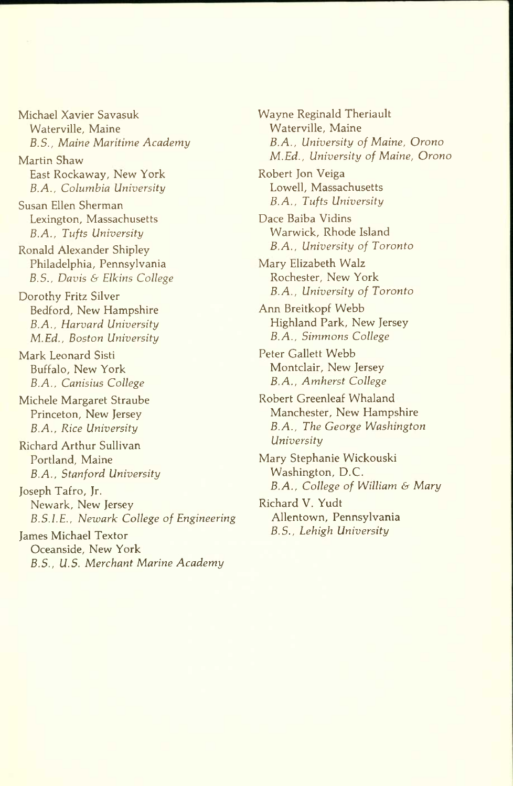Michael Xavier Savasuk Waterville, Maine *B.S., Maine Maritime Academy* 

Martin Shaw East Rockaway, New York *B.A., Columbia University* 

Susan Ellen Sherman Lexington, Massachusetts *B.A., Tufts University* 

Ronald Alexander Shipley Philadelphia, Pennsylvania *B.S., Davis & Elkins College* 

Dorothy Fritz Silver Bedford, New Hampshire *B.A., Harvard University M.Ed., Boston University* 

Mark Leonard Sisti Buffalo, New York *B.A., Canisius College* 

Michele Margaret Straube Princeton, New Jersey *B.A., Rice University* 

Richard Arthur Sullivan Portland, Maine *B.A., Stanford University* 

Joseph Tafro, Jr. Newark, New Jersey *B.S.I.E., Newark College of Engineering* 

James Michael Textor Oceanside, New York *B.S., U.S. Merchant Marine Academy*  Wayne Reginald Theriault Waterville, Maine *B.A., University of Maine, Orono M.Ed., University of Maine, Orono* 

Robert Jon Veiga Lowell, Massachusetts *B.A., Tufts University* 

Dace Baiba Vidins Warwick, Rhode Island *B.A., University of Toronto* 

Mary Elizabeth Walz Rochester, New York *B.A., University of Toronto* 

Ann Breitkopf Webb Highland Park, New Jersey *B.A., Simmons College* 

Peter Gallett Webb Montclair, New Jersey *B.A., Amherst College* 

Robert Greenleaf Whaland Manchester, New Hampshire *B.A., The George Washington University* 

Mary Stephanie Wickouski Washington, D.C. *B.A,, College of William b Mary* 

Richard V. Yudt Allentown, Pennsylvania *B.S., Lehigh University*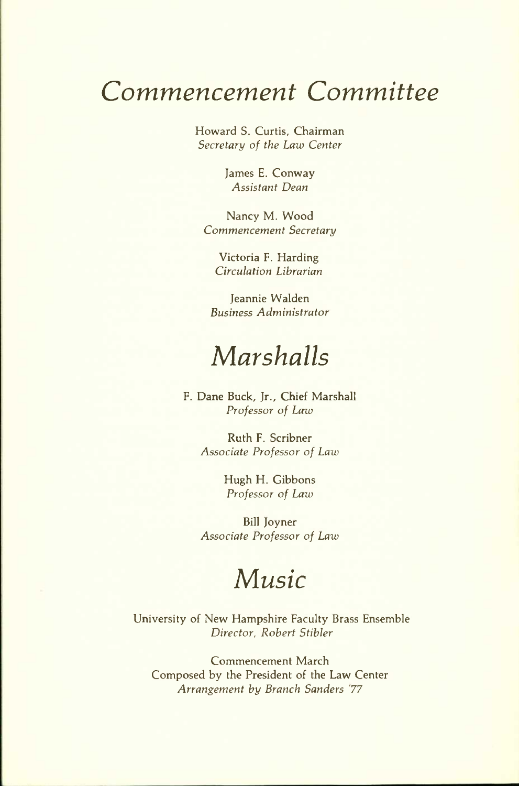### *Commencement Committee*

Howard S. Curtis, Chairman *Secretary of the Law Center* 

> James E. Conway *Assistant Dean*

Nancy M. Wood *Commencement Secretary* 

Victoria F. Harding *Circulation Librarian* 

Jeannie Walden *Business Administrator* 

### *Marshalls*

F. Dane Buck, Jr., Chief Marshall *Professor of Law* 

> Ruth F. Scribner *Associate Professor of Law*

> > Hugh H. Gibbons *Professor of Law*

Bill Joyner *Associate Professor of Law* 

### *Music*

University of New Hampshire Faculty Brass Ensemble *Director, Robert Stibler* 

Commencement March Composed by the President of the Law Center *Arrangement by Branch Sanders '77*